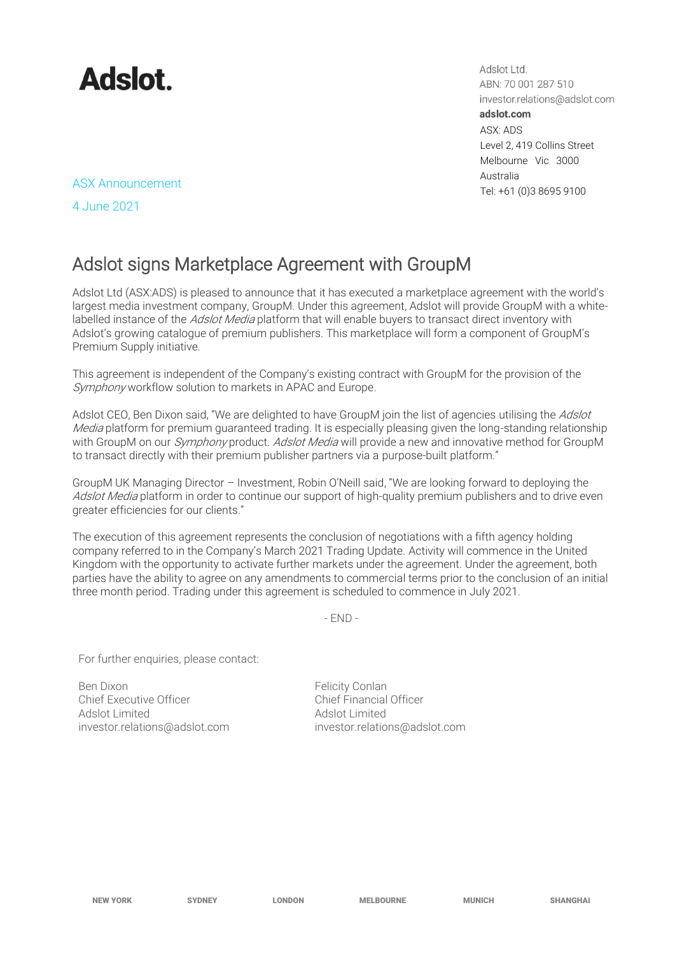

Adslot Ltd. ABN: 70 001 287 510 investor.relations@adslot.com adslot.com ASX: ADS Level 2, 419 Collins Street Melbourne Vic 3000 Australia ASX Announcement<br>Tel: +61 (0)3 8695 9100

4 June 2021

## Adslot signs Marketplace Agreement with GroupM

Adslot Ltd (ASX:ADS) is pleased to announce that it has executed a marketplace agreement with the world's largest media investment company, GroupM. Under this agreement, Adslot will provide GroupM with a whitelabelled instance of the Adslot Media platform that will enable buyers to transact direct inventory with Adslot's growing catalogue of premium publishers. This marketplace will form a component of GroupM's Premium Supply initiative.

This agreement is independent of the Company's existing contract with GroupM for the provision of the Symphony workflow solution to markets in APAC and Europe.

Adslot CEO, Ben Dixon said, "We are delighted to have GroupM join the list of agencies utilising the Adslot Media platform for premium guaranteed trading. It is especially pleasing given the long-standing relationship with GroupM on our *Symphony* product. *Adslot Media* will provide a new and innovative method for GroupM to transact directly with their premium publisher partners via a purpose-built platform."

GroupM UK Managing Director – Investment, Robin O'Neill said, "We are looking forward to deploying the Adslot Media platform in order to continue our support of high-quality premium publishers and to drive even greater efficiencies for our clients."

The execution of this agreement represents the conclusion of negotiations with a fifth agency holding company referred to in the Company's March 2021 Trading Update. Activity will commence in the United Kingdom with the opportunity to activate further markets under the agreement. Under the agreement, both parties have the ability to agree on any amendments to commercial terms prior to the conclusion of an initial three month period. Trading under this agreement is scheduled to commence in July 2021.

 $-$  FND  $-$ 

For further enquiries, please contact:

Ben Dixon **Felicity Conlan** Chief Executive Officer Chief Financial Officer Adslot Limited Adslot Limited

[investor.relations@adslot.com](mailto:info@adslot.com.au) investor.relations@adslot.com